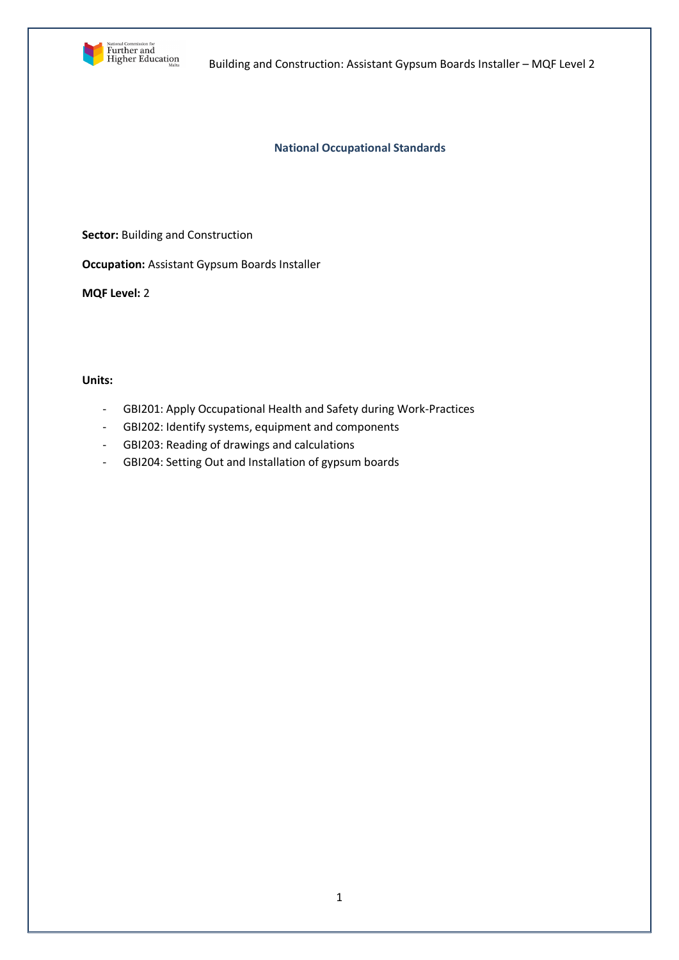

Building and Construction: Assistant Gypsum Boards Installer – MQF Level 2

## **National Occupational Standards**

**Sector:** Building and Construction

**Occupation:** Assistant Gypsum Boards Installer

**MQF Level:** 2

## **Units:**

- GBI201: Apply Occupational Health and Safety during Work-Practices
- GBI202: Identify systems, equipment and components
- GBI203: Reading of drawings and calculations
- GBI204: Setting Out and Installation of gypsum boards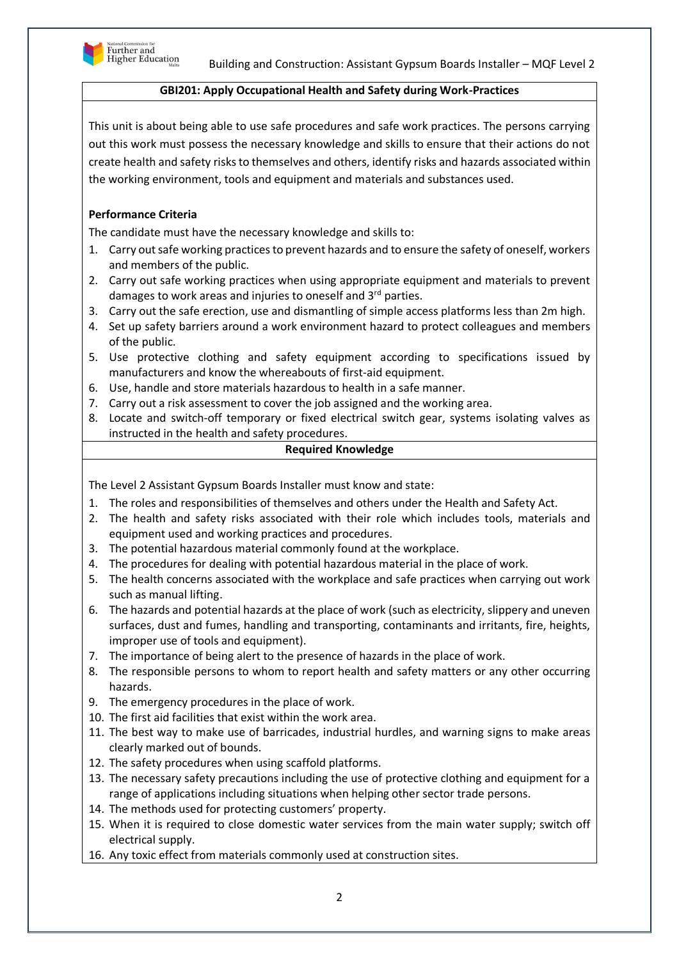

### **GBI201: Apply Occupational Health and Safety during Work-Practices**

This unit is about being able to use safe procedures and safe work practices. The persons carrying out this work must possess the necessary knowledge and skills to ensure that their actions do not create health and safety risks to themselves and others, identify risks and hazards associated within the working environment, tools and equipment and materials and substances used.

# **Performance Criteria**

The candidate must have the necessary knowledge and skills to:

- 1. Carry out safe working practices to prevent hazards and to ensure the safety of oneself, workers and members of the public.
- 2. Carry out safe working practices when using appropriate equipment and materials to prevent damages to work areas and injuries to oneself and  $3<sup>rd</sup>$  parties.
- 3. Carry out the safe erection, use and dismantling of simple access platforms less than 2m high.
- 4. Set up safety barriers around a work environment hazard to protect colleagues and members of the public.
- 5. Use protective clothing and safety equipment according to specifications issued by manufacturers and know the whereabouts of first-aid equipment.
- 6. Use, handle and store materials hazardous to health in a safe manner.
- 7. Carry out a risk assessment to cover the job assigned and the working area.
- 8. Locate and switch-off temporary or fixed electrical switch gear, systems isolating valves as instructed in the health and safety procedures.

### **Required Knowledge**

The Level 2 Assistant Gypsum Boards Installer must know and state:

- 1. The roles and responsibilities of themselves and others under the Health and Safety Act.
- 2. The health and safety risks associated with their role which includes tools, materials and equipment used and working practices and procedures.
- 3. The potential hazardous material commonly found at the workplace.
- 4. The procedures for dealing with potential hazardous material in the place of work.
- 5. The health concerns associated with the workplace and safe practices when carrying out work such as manual lifting.
- 6. The hazards and potential hazards at the place of work (such as electricity, slippery and uneven surfaces, dust and fumes, handling and transporting, contaminants and irritants, fire, heights, improper use of tools and equipment).
- 7. The importance of being alert to the presence of hazards in the place of work.
- 8. The responsible persons to whom to report health and safety matters or any other occurring hazards.
- 9. The emergency procedures in the place of work.
- 10. The first aid facilities that exist within the work area.
- 11. The best way to make use of barricades, industrial hurdles, and warning signs to make areas clearly marked out of bounds.
- 12. The safety procedures when using scaffold platforms.
- 13. The necessary safety precautions including the use of protective clothing and equipment for a range of applications including situations when helping other sector trade persons.
- 14. The methods used for protecting customers' property.
- 15. When it is required to close domestic water services from the main water supply; switch off electrical supply.
- 16. Any toxic effect from materials commonly used at construction sites.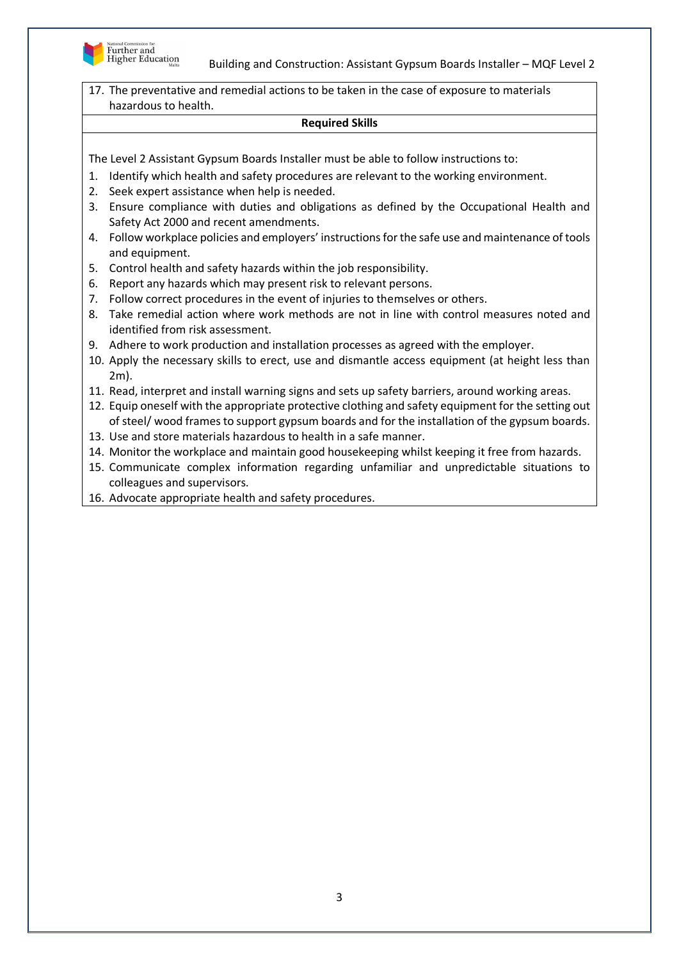

Building and Construction: Assistant Gypsum Boards Installer – MQF Level 2

17. The preventative and remedial actions to be taken in the case of exposure to materials hazardous to health.

#### **Required Skills**

- 1. Identify which health and safety procedures are relevant to the working environment.
- 2. Seek expert assistance when help is needed.
- 3. Ensure compliance with duties and obligations as defined by the Occupational Health and Safety Act 2000 and recent amendments.
- 4. Follow workplace policies and employers' instructions for the safe use and maintenance of tools and equipment.
- 5. Control health and safety hazards within the job responsibility.
- 6. Report any hazards which may present risk to relevant persons.
- 7. Follow correct procedures in the event of injuries to themselves or others.
- 8. Take remedial action where work methods are not in line with control measures noted and identified from risk assessment.
- 9. Adhere to work production and installation processes as agreed with the employer.
- 10. Apply the necessary skills to erect, use and dismantle access equipment (at height less than 2m).
- 11. Read, interpret and install warning signs and sets up safety barriers, around working areas.
- 12. Equip oneself with the appropriate protective clothing and safety equipment for the setting out of steel/ wood frames to support gypsum boards and for the installation of the gypsum boards.
- 13. Use and store materials hazardous to health in a safe manner.
- 14. Monitor the workplace and maintain good housekeeping whilst keeping it free from hazards.
- 15. Communicate complex information regarding unfamiliar and unpredictable situations to colleagues and supervisors.
- 16. Advocate appropriate health and safety procedures.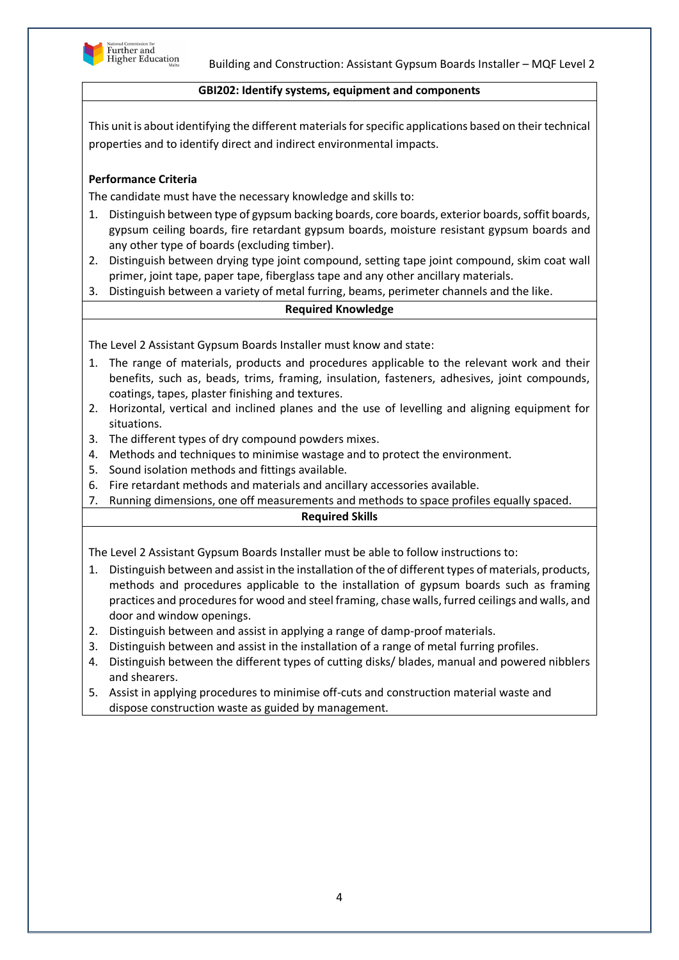

## **GBI202: Identify systems, equipment and components**

This unit is about identifying the different materials for specific applications based on their technical properties and to identify direct and indirect environmental impacts.

## **Performance Criteria**

The candidate must have the necessary knowledge and skills to:

- 1. Distinguish between type of gypsum backing boards, core boards, exterior boards, soffit boards, gypsum ceiling boards, fire retardant gypsum boards, moisture resistant gypsum boards and any other type of boards (excluding timber).
- 2. Distinguish between drying type joint compound, setting tape joint compound, skim coat wall primer, joint tape, paper tape, fiberglass tape and any other ancillary materials.
- 3. Distinguish between a variety of metal furring, beams, perimeter channels and the like.

#### **Required Knowledge**

The Level 2 Assistant Gypsum Boards Installer must know and state:

- 1. The range of materials, products and procedures applicable to the relevant work and their benefits, such as, beads, trims, framing, insulation, fasteners, adhesives, joint compounds, coatings, tapes, plaster finishing and textures.
- 2. Horizontal, vertical and inclined planes and the use of levelling and aligning equipment for situations.
- 3. The different types of dry compound powders mixes.
- 4. Methods and techniques to minimise wastage and to protect the environment.
- 5. Sound isolation methods and fittings available.
- 6. Fire retardant methods and materials and ancillary accessories available.
- 7. Running dimensions, one off measurements and methods to space profiles equally spaced.

#### **Required Skills**

- 1. Distinguish between and assist in the installation of the of different types of materials, products, methods and procedures applicable to the installation of gypsum boards such as framing practices and procedures for wood and steel framing, chase walls, furred ceilings and walls, and door and window openings.
- 2. Distinguish between and assist in applying a range of damp-proof materials.
- 3. Distinguish between and assist in the installation of a range of metal furring profiles.
- 4. Distinguish between the different types of cutting disks/ blades, manual and powered nibblers and shearers.
- 5. Assist in applying procedures to minimise off-cuts and construction material waste and dispose construction waste as guided by management.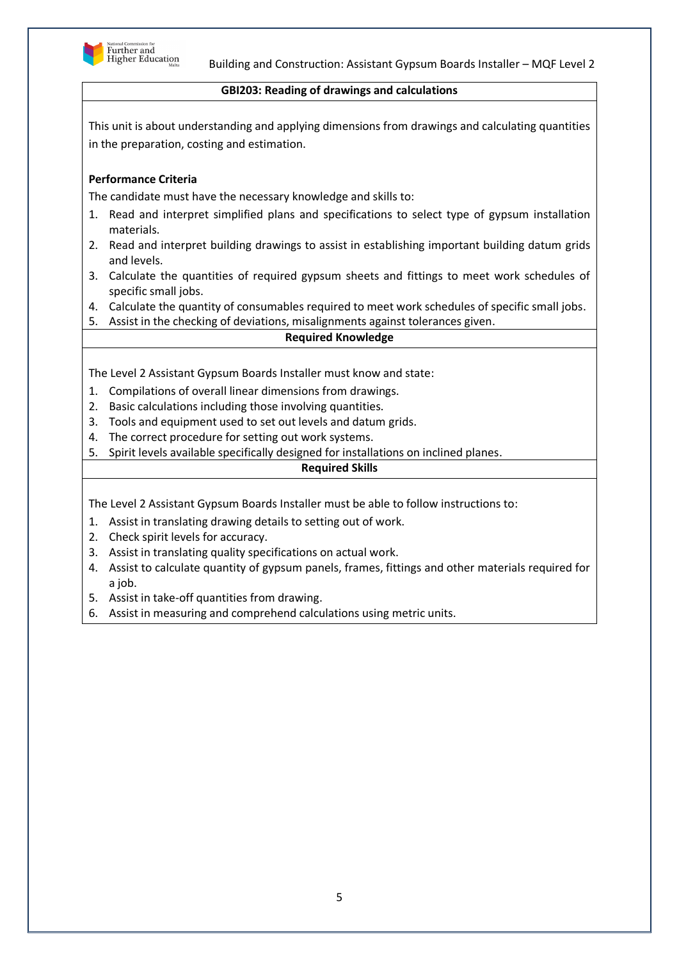

### **GBI203: Reading of drawings and calculations**

This unit is about understanding and applying dimensions from drawings and calculating quantities in the preparation, costing and estimation.

# **Performance Criteria**

The candidate must have the necessary knowledge and skills to:

- 1. Read and interpret simplified plans and specifications to select type of gypsum installation materials.
- 2. Read and interpret building drawings to assist in establishing important building datum grids and levels.
- 3. Calculate the quantities of required gypsum sheets and fittings to meet work schedules of specific small jobs.
- 4. Calculate the quantity of consumables required to meet work schedules of specific small jobs.
- 5. Assist in the checking of deviations, misalignments against tolerances given.

#### **Required Knowledge**

The Level 2 Assistant Gypsum Boards Installer must know and state:

- 1. Compilations of overall linear dimensions from drawings.
- 2. Basic calculations including those involving quantities.
- 3. Tools and equipment used to set out levels and datum grids.
- 4. The correct procedure for setting out work systems.
- 5. Spirit levels available specifically designed for installations on inclined planes.

#### **Required Skills**

- 1. Assist in translating drawing details to setting out of work.
- 2. Check spirit levels for accuracy.
- 3. Assist in translating quality specifications on actual work.
- 4. Assist to calculate quantity of gypsum panels, frames, fittings and other materials required for a job.
- 5. Assist in take-off quantities from drawing.
- 6. Assist in measuring and comprehend calculations using metric units.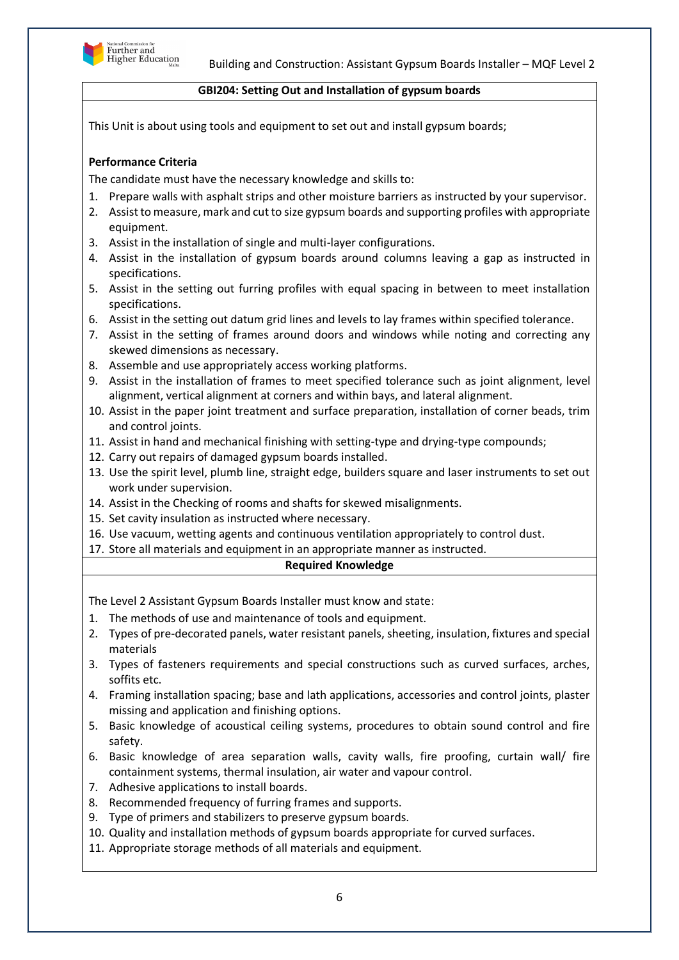

### **GBI204: Setting Out and Installation of gypsum boards**

This Unit is about using tools and equipment to set out and install gypsum boards;

# **Performance Criteria**

The candidate must have the necessary knowledge and skills to:

- 1. Prepare walls with asphalt strips and other moisture barriers as instructed by your supervisor.
- 2. Assist to measure, mark and cut to size gypsum boards and supporting profiles with appropriate equipment.
- 3. Assist in the installation of single and multi-layer configurations.
- 4. Assist in the installation of gypsum boards around columns leaving a gap as instructed in specifications.
- 5. Assist in the setting out furring profiles with equal spacing in between to meet installation specifications.
- 6. Assist in the setting out datum grid lines and levels to lay frames within specified tolerance.
- 7. Assist in the setting of frames around doors and windows while noting and correcting any skewed dimensions as necessary.
- 8. Assemble and use appropriately access working platforms.
- 9. Assist in the installation of frames to meet specified tolerance such as joint alignment, level alignment, vertical alignment at corners and within bays, and lateral alignment.
- 10. Assist in the paper joint treatment and surface preparation, installation of corner beads, trim and control joints.
- 11. Assist in hand and mechanical finishing with setting-type and drying-type compounds;
- 12. Carry out repairs of damaged gypsum boards installed.
- 13. Use the spirit level, plumb line, straight edge, builders square and laser instruments to set out work under supervision.
- 14. Assist in the Checking of rooms and shafts for skewed misalignments.
- 15. Set cavity insulation as instructed where necessary.
- 16. Use vacuum, wetting agents and continuous ventilation appropriately to control dust.
- 17. Store all materials and equipment in an appropriate manner as instructed.

#### **Required Knowledge**

The Level 2 Assistant Gypsum Boards Installer must know and state:

- 1. The methods of use and maintenance of tools and equipment.
- 2. Types of pre-decorated panels, water resistant panels, sheeting, insulation, fixtures and special materials
- 3. Types of fasteners requirements and special constructions such as curved surfaces, arches, soffits etc.
- 4. Framing installation spacing; base and lath applications, accessories and control joints, plaster missing and application and finishing options.
- 5. Basic knowledge of acoustical ceiling systems, procedures to obtain sound control and fire safety.
- 6. Basic knowledge of area separation walls, cavity walls, fire proofing, curtain wall/ fire containment systems, thermal insulation, air water and vapour control.
- 7. Adhesive applications to install boards.
- 8. Recommended frequency of furring frames and supports.
- 9. Type of primers and stabilizers to preserve gypsum boards.
- 10. Quality and installation methods of gypsum boards appropriate for curved surfaces.
- 11. Appropriate storage methods of all materials and equipment.